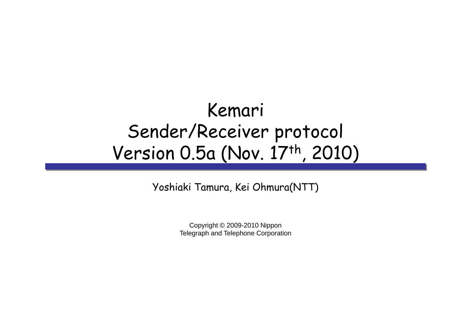# Kemari Sender/Receiver protocol Version 0.5a (Nov. 17th, 2010)

Yoshiaki Tamura, Kei Ohmura(NTT)

Copyright © 2009-2010 Nippon Telegraph and Telephone Corporation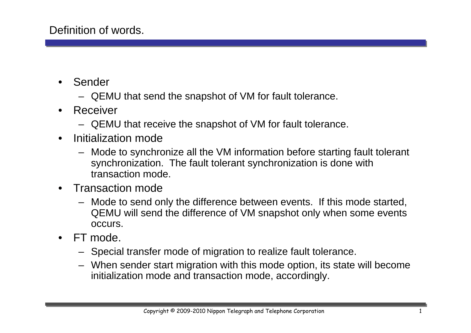- • Sender
	- QEMU that send the snapshot of VM for fault tolerance.
- • Receiver
	- QEMU that receive the snapshot of VM for fault tolerance.
- $\bullet$  Initialization mode
	- Mode to synchronize all the VM information before starting fault tolerant synchronization. The fault tolerant synchronization is done with transaction mode.
- $\bullet$  Transaction mode
	- Mode to send only the difference between events. If this mode started, QEMU will send the difference of VM snapshot only when some events occurs.
- • FT mode.
	- Special transfer mode of migration to realize fault tolerance.
	- When sender start migration with this mode option, its state will become initialization mode and transaction mode, accordingly.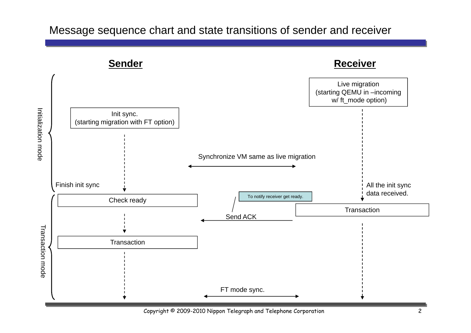#### Message sequence chart and state transitions of sender and receiver



Copyright © 2009-2010 Nippon Telegraph and Telephone Corporation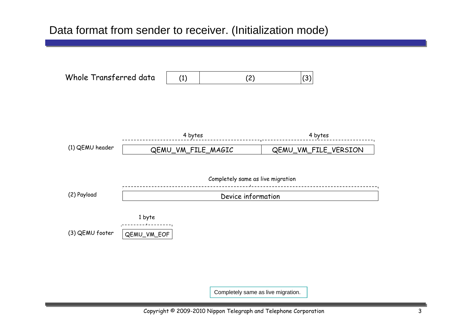#### Data format from sender to receiver. (Initialization mode)



Completely same as live migration.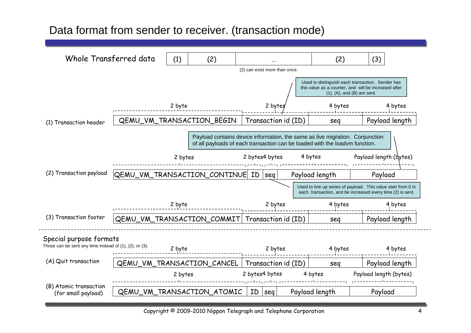## Data format from sender to receiver. (transaction mode)

| Whole Transferred data                                                                      |                                       | (1)    | (2)                                                                                                                                                         |                     | (2) can exist more than once. | (2)                                                                                                                         | (3)                                      |                |  |
|---------------------------------------------------------------------------------------------|---------------------------------------|--------|-------------------------------------------------------------------------------------------------------------------------------------------------------------|---------------------|-------------------------------|-----------------------------------------------------------------------------------------------------------------------------|------------------------------------------|----------------|--|
|                                                                                             |                                       |        |                                                                                                                                                             |                     |                               | Used to distinguish each transaction. Sender has<br>this value as a counter, and will be increased after                    | $(1)$ , $(A)$ , and $(B)$ are sent.      |                |  |
|                                                                                             |                                       | 2 byte |                                                                                                                                                             |                     | 2 byte.                       | 4 bytes                                                                                                                     |                                          | 4 bytes        |  |
| (1) Transaction header                                                                      | QEMU_VM_TRANSACTION_BEGIN             |        |                                                                                                                                                             | Transaction id (ID) |                               | seg                                                                                                                         |                                          | Payload length |  |
|                                                                                             |                                       |        | Payload contains device information, the same as live migration. Conjunction<br>of all payloads of each transaction can be loaded with the loadym function. |                     |                               |                                                                                                                             |                                          |                |  |
|                                                                                             | 2 bytes                               |        | 2 bytes4 bytes                                                                                                                                              |                     | 4 bytes                       | Payload length (bytes)                                                                                                      |                                          |                |  |
| (2) Transaction payload                                                                     | QEMU_VM_TRANSACTION_CONTINUE          |        | ID<br><b>seq</b>                                                                                                                                            |                     | Payload length                | Payload                                                                                                                     |                                          |                |  |
|                                                                                             |                                       |        |                                                                                                                                                             |                     |                               | Used to line up series of payload. This value start from 0 in<br>each transaction, and be increased every time (2) is sent. |                                          |                |  |
|                                                                                             | 2 byte                                |        |                                                                                                                                                             | 2 bytes             |                               | 4 bytes                                                                                                                     |                                          | 4 bytes        |  |
| (3) Transaction footer                                                                      | QEMU VM TRANSACTION COMMIT            |        | Transaction id (ID)                                                                                                                                         |                     | sea                           |                                                                                                                             | Payload length                           |                |  |
| Special purpose formats<br>Those can be sent any time instead of $(1)$ , $(2)$ , or $(3)$ . |                                       |        |                                                                                                                                                             |                     |                               |                                                                                                                             |                                          |                |  |
| (A) Quit transaction                                                                        | 2 byte                                |        | 2 bytes                                                                                                                                                     |                     | 4 bytes                       |                                                                                                                             | 4 bytes                                  |                |  |
|                                                                                             | QEMU_VM_TRANSACTION_CANCEL<br>2 bytes |        | Transaction id (ID)<br>2 bytes4 bytes                                                                                                                       |                     | seg<br>4 bytes                |                                                                                                                             | Payload length<br>Payload length (bytes) |                |  |
| (B) Atomic transaction                                                                      |                                       |        |                                                                                                                                                             |                     |                               |                                                                                                                             |                                          |                |  |
|                                                                                             | QEMU_VM_TRANSACTION_ATOMIC            |        |                                                                                                                                                             |                     |                               |                                                                                                                             |                                          |                |  |

Copyright © 2009-2010 Nippon Telegraph and Telephone Corporation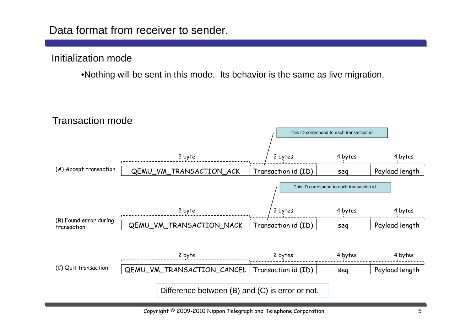#### Initialization mode

•Nothing will be sent in this mode. Its behavior is the same as live migration.

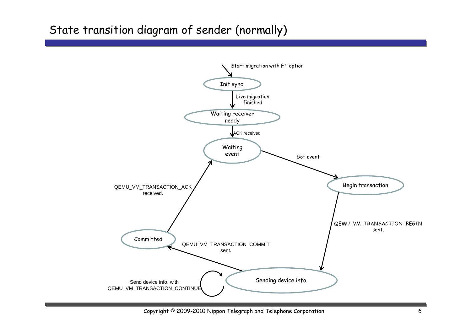# State transition diagram of sender (normally)



Copyright © 2009-2010 Nippon Telegraph and Telephone Corporation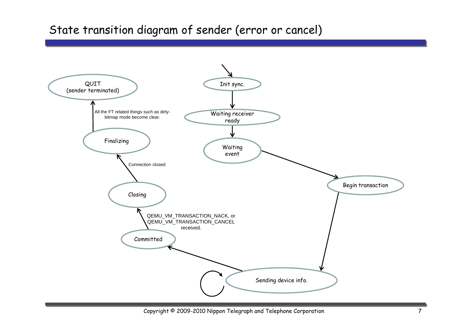## State transition diagram of sender (error or cancel)



Copyright © 2009-2010 Nippon Telegraph and Telephone Corporation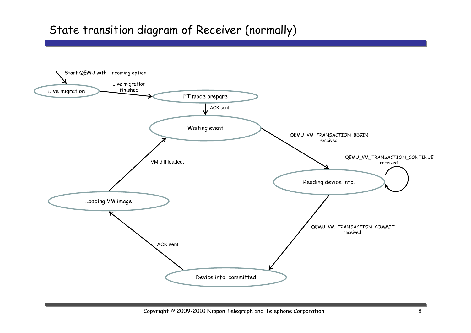